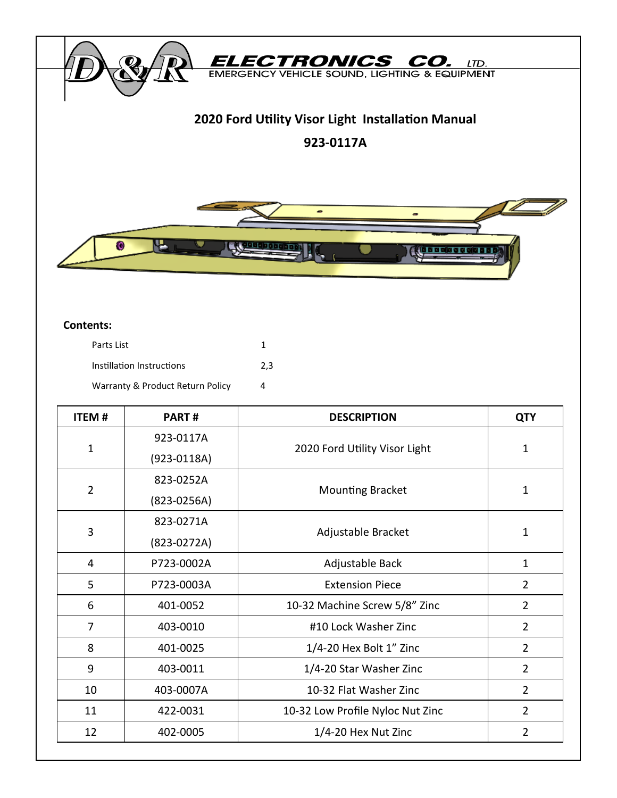

#### **Contents:**

| Parts List                       |     |
|----------------------------------|-----|
| Instillation Instructions        | 2.3 |
| Warranty & Product Return Policy | Δ   |

| <b>ITEM#</b>   | PART#           | <b>DESCRIPTION</b>               | <b>QTY</b>     |
|----------------|-----------------|----------------------------------|----------------|
| $\mathbf{1}$   | 923-0117A       | 2020 Ford Utility Visor Light    | $\mathbf{1}$   |
|                | $(923 - 0118A)$ |                                  |                |
| $\overline{2}$ | 823-0252A       | <b>Mounting Bracket</b>          | $\mathbf{1}$   |
|                | $(823 - 0256A)$ |                                  |                |
| 3              | 823-0271A       | Adjustable Bracket               |                |
|                | $(823-0272A)$   |                                  | $\mathbf{1}$   |
| 4              | P723-0002A      | Adjustable Back                  | $\mathbf{1}$   |
| 5              | P723-0003A      | <b>Extension Piece</b>           | $\overline{2}$ |
| 6              | 401-0052        | 10-32 Machine Screw 5/8" Zinc    | $\overline{2}$ |
| $\overline{7}$ | 403-0010        | #10 Lock Washer Zinc             | $\overline{2}$ |
| 8              | 401-0025        | 1/4-20 Hex Bolt 1" Zinc          | $\overline{2}$ |
| 9              | 403-0011        | 1/4-20 Star Washer Zinc          | $\overline{2}$ |
| 10             | 403-0007A       | 10-32 Flat Washer Zinc           | $\overline{2}$ |
| 11             | 422-0031        | 10-32 Low Profile Nyloc Nut Zinc | 2              |
| 12             | 402-0005        | 1/4-20 Hex Nut Zinc              | $\overline{2}$ |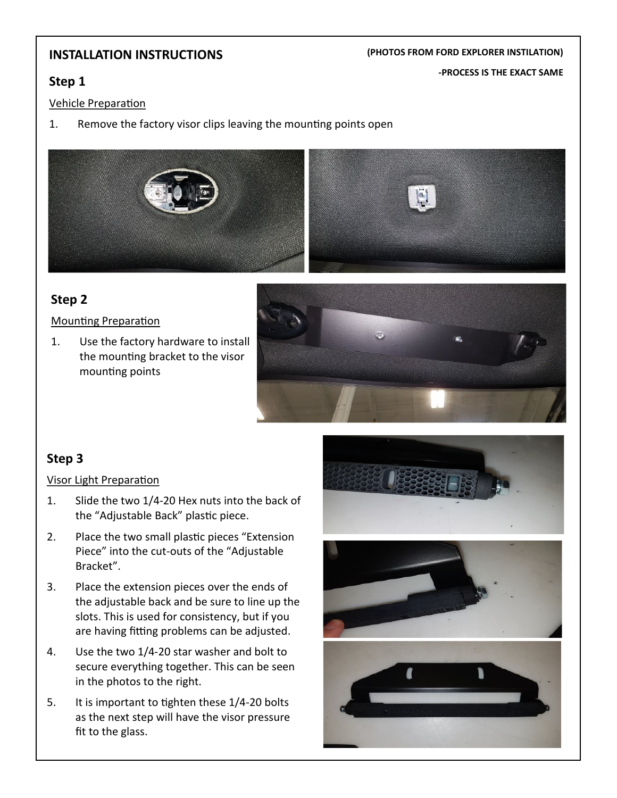## **INSTALLATION INSTRUCTIONS**

#### **(PHOTOS FROM FORD EXPLORER INSTILATION)**

**-PROCESS IS THE EXACT SAME**

## **Step 1**

### Vehicle Preparation

1. Remove the factory visor clips leaving the mounting points open



# **Step 2**

Mounting Preparation

1. Use the factory hardware to install the mounting bracket to the visor mounting points



# **Step 3**

### Visor Light Preparation

- 1. Slide the two 1/4-20 Hex nuts into the back of the "Adjustable Back" plastic piece.
- 2. Place the two small plastic pieces "Extension Piece" into the cut-outs of the "Adjustable Bracket".
- 3. Place the extension pieces over the ends of the adjustable back and be sure to line up the slots. This is used for consistency, but if you are having fitting problems can be adjusted.
- 4. Use the two 1/4-20 star washer and bolt to secure everything together. This can be seen in the photos to the right.
- 5. It is important to tighten these 1/4-20 bolts as the next step will have the visor pressure fit to the glass.





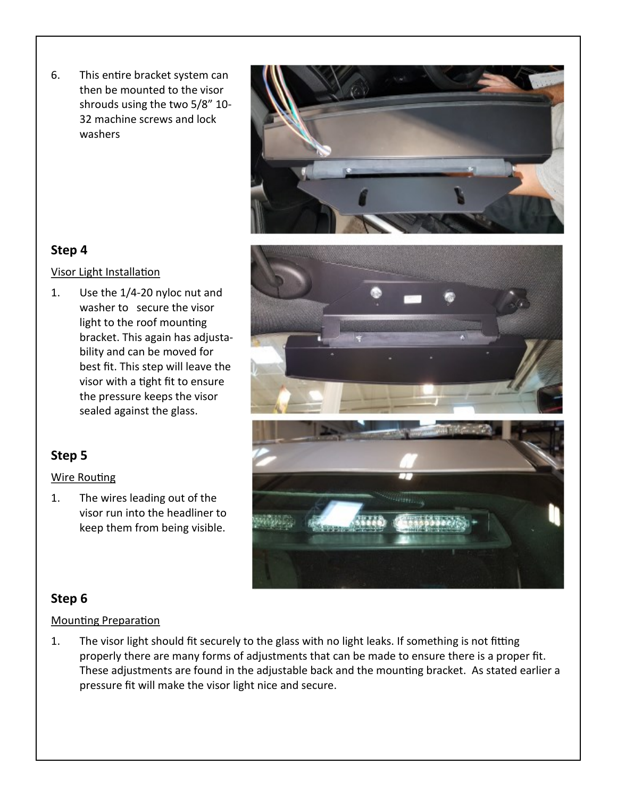6. This entire bracket system can then be mounted to the visor shrouds using the two 5/8" 10- 32 machine screws and lock washers





# **Step 4**

### Visor Light Installation

1. Use the 1/4-20 nyloc nut and washer to secure the visor light to the roof mounting bracket. This again has adjustability and can be moved for best fit. This step will leave the visor with a tight fit to ensure the pressure keeps the visor sealed against the glass.

# **Step 5**

## Wire Routing

1. The wires leading out of the visor run into the headliner to keep them from being visible.



# **Step 6**

## Mounting Preparation

1. The visor light should fit securely to the glass with no light leaks. If something is not fitting properly there are many forms of adjustments that can be made to ensure there is a proper fit. These adjustments are found in the adjustable back and the mounting bracket. As stated earlier a pressure fit will make the visor light nice and secure.